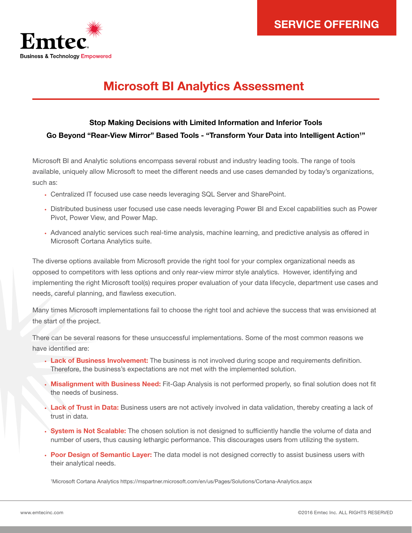

# Microsoft BI Analytics Assessment

## Stop Making Decisions with Limited Information and Inferior Tools Go Beyond "Rear-View Mirror" Based Tools - "Transform Your Data into Intelligent Action<sup>1</sup>"

Microsoft BI and Analytic solutions encompass several robust and industry leading tools. The range of tools available, uniquely allow Microsoft to meet the different needs and use cases demanded by today's organizations, such as:

- Centralized IT focused use case needs leveraging SQL Server and SharePoint.
- Distributed business user focused use case needs leveraging Power BI and Excel capabilities such as Power Pivot, Power View, and Power Map.
- Advanced analytic services such real-time analysis, machine learning, and predictive analysis as offered in Microsoft Cortana Analytics suite.

The diverse options available from Microsoft provide the right tool for your complex organizational needs as opposed to competitors with less options and only rear-view mirror style analytics. However, identifying and implementing the right Microsoft tool(s) requires proper evaluation of your data lifecycle, department use cases and needs, careful planning, and flawless execution.

Many times Microsoft implementations fail to choose the right tool and achieve the success that was envisioned at the start of the project.

There can be several reasons for these unsuccessful implementations. Some of the most common reasons we have identified are:

- Lack of Business Involvement: The business is not involved during scope and requirements definition. Therefore, the business's expectations are not met with the implemented solution.
- Misalignment with Business Need: Fit-Gap Analysis is not performed properly, so final solution does not fit the needs of business.
- Lack of Trust in Data: Business users are not actively involved in data validation, thereby creating a lack of trust in data.
- System is Not Scalable: The chosen solution is not designed to sufficiently handle the volume of data and number of users, thus causing lethargic performance. This discourages users from utilizing the system.
- Poor Design of Semantic Layer: The data model is not designed correctly to assist business users with their analytical needs.

1 Microsoft Cortana Analytics [https://mspartner.microsoft.com/en/us/Pages/Solutions/Cortana-Analytics.aspx](https://partner.microsoft.com/en-US/Solutions/Cortana-Analytics)